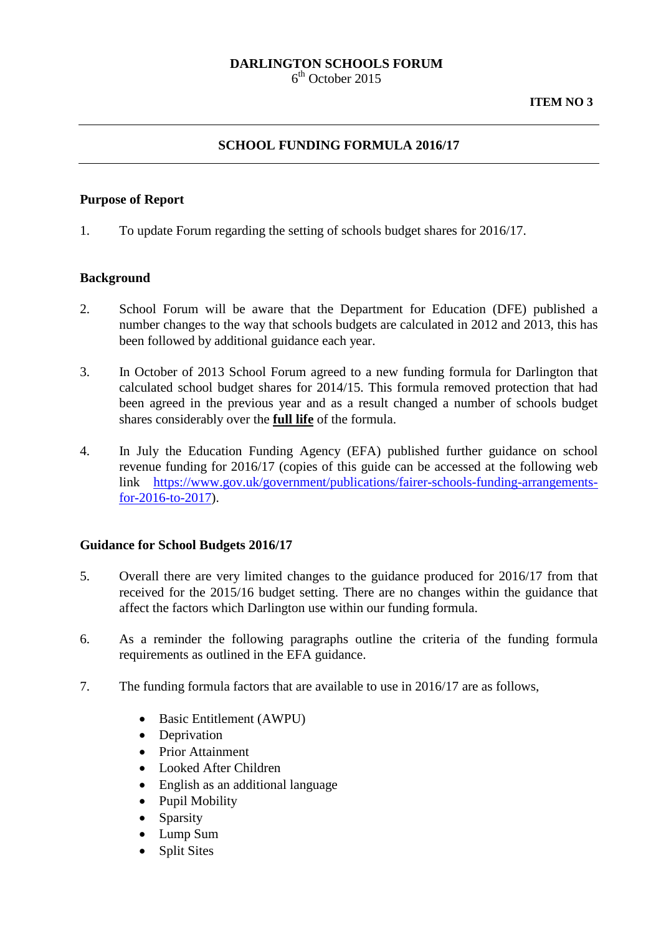# **DARLINGTON SCHOOLS FORUM**

 $6<sup>th</sup>$  October 2015

#### **SCHOOL FUNDING FORMULA 2016/17**

#### **Purpose of Report**

1. To update Forum regarding the setting of schools budget shares for 2016/17.

#### **Background**

- 2. School Forum will be aware that the Department for Education (DFE) published a number changes to the way that schools budgets are calculated in 2012 and 2013, this has been followed by additional guidance each year.
- 3. In October of 2013 School Forum agreed to a new funding formula for Darlington that calculated school budget shares for 2014/15. This formula removed protection that had been agreed in the previous year and as a result changed a number of schools budget shares considerably over the **full life** of the formula.
- 4. In July the Education Funding Agency (EFA) published further guidance on school revenue funding for 2016/17 (copies of this guide can be accessed at the following web link [https://www.gov.uk/government/publications/fairer-schools-funding-arrangements](https://www.gov.uk/government/publications/fairer-schools-funding-arrangements-for-2016-to-2017)[for-2016-to-2017\)](https://www.gov.uk/government/publications/fairer-schools-funding-arrangements-for-2016-to-2017).

#### **Guidance for School Budgets 2016/17**

- 5. Overall there are very limited changes to the guidance produced for 2016/17 from that received for the 2015/16 budget setting. There are no changes within the guidance that affect the factors which Darlington use within our funding formula.
- 6. As a reminder the following paragraphs outline the criteria of the funding formula requirements as outlined in the EFA guidance.
- 7. The funding formula factors that are available to use in 2016/17 are as follows,
	- Basic Entitlement (AWPU)
	- Deprivation
	- Prior Attainment
	- Looked After Children
	- English as an additional language
	- Pupil Mobility
	- Sparsity
	- Lump Sum
	- **Split Sites**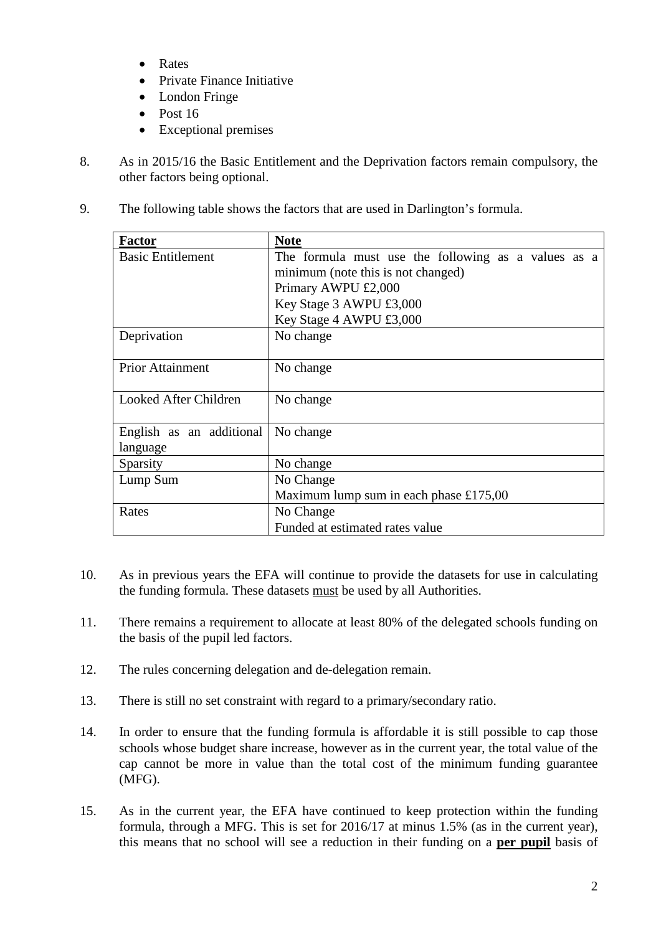- Rates
- Private Finance Initiative
- London Fringe
- Post 16
- Exceptional premises
- 8. As in 2015/16 the Basic Entitlement and the Deprivation factors remain compulsory, the other factors being optional.
- 9. The following table shows the factors that are used in Darlington's formula.

| <b>Factor</b>            | <b>Note</b>                                         |
|--------------------------|-----------------------------------------------------|
| <b>Basic Entitlement</b> | The formula must use the following as a values as a |
|                          | minimum (note this is not changed)                  |
|                          | Primary AWPU £2,000                                 |
|                          | Key Stage 3 AWPU £3,000                             |
|                          | Key Stage 4 AWPU £3,000                             |
| Deprivation              | No change                                           |
| <b>Prior Attainment</b>  | No change                                           |
| Looked After Children    | No change                                           |
| English as an additional | No change                                           |
| language                 |                                                     |
| Sparsity                 | No change                                           |
| Lump Sum                 | No Change                                           |
|                          | Maximum lump sum in each phase £175,00              |
| Rates                    | No Change                                           |
|                          | Funded at estimated rates value                     |

- 10. As in previous years the EFA will continue to provide the datasets for use in calculating the funding formula. These datasets must be used by all Authorities.
- 11. There remains a requirement to allocate at least 80% of the delegated schools funding on the basis of the pupil led factors.
- 12. The rules concerning delegation and de-delegation remain.
- 13. There is still no set constraint with regard to a primary/secondary ratio.
- 14. In order to ensure that the funding formula is affordable it is still possible to cap those schools whose budget share increase, however as in the current year, the total value of the cap cannot be more in value than the total cost of the minimum funding guarantee (MFG).
- 15. As in the current year, the EFA have continued to keep protection within the funding formula, through a MFG. This is set for 2016/17 at minus 1.5% (as in the current year), this means that no school will see a reduction in their funding on a **per pupil** basis of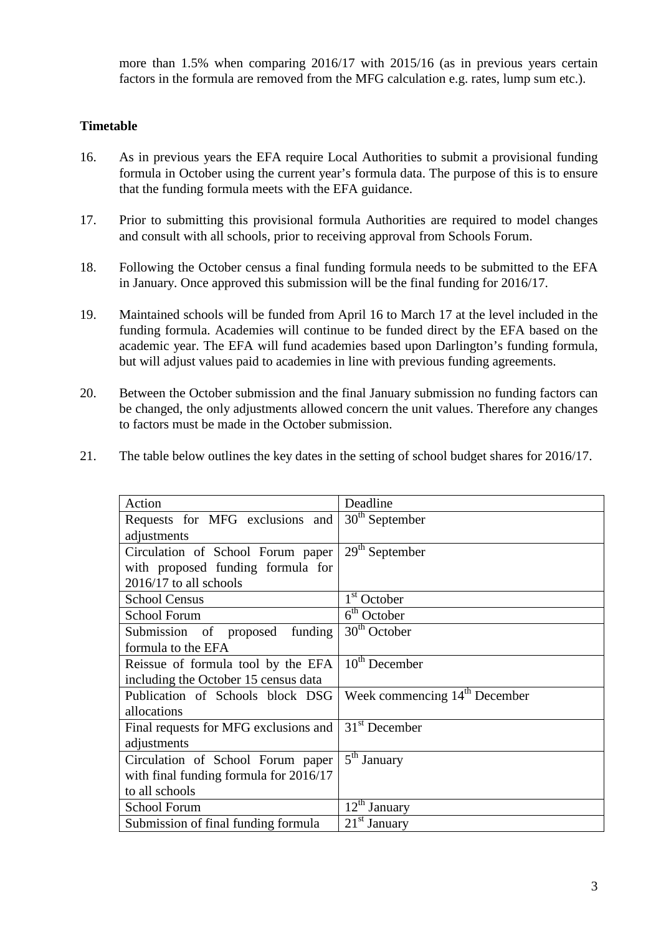more than 1.5% when comparing 2016/17 with 2015/16 (as in previous years certain factors in the formula are removed from the MFG calculation e.g. rates, lump sum etc.).

# **Timetable**

- 16. As in previous years the EFA require Local Authorities to submit a provisional funding formula in October using the current year's formula data. The purpose of this is to ensure that the funding formula meets with the EFA guidance.
- 17. Prior to submitting this provisional formula Authorities are required to model changes and consult with all schools, prior to receiving approval from Schools Forum.
- 18. Following the October census a final funding formula needs to be submitted to the EFA in January. Once approved this submission will be the final funding for 2016/17.
- 19. Maintained schools will be funded from April 16 to March 17 at the level included in the funding formula. Academies will continue to be funded direct by the EFA based on the academic year. The EFA will fund academies based upon Darlington's funding formula, but will adjust values paid to academies in line with previous funding agreements.
- 20. Between the October submission and the final January submission no funding factors can be changed, the only adjustments allowed concern the unit values. Therefore any changes to factors must be made in the October submission.
- 21. The table below outlines the key dates in the setting of school budget shares for 2016/17.

| Action                                   | Deadline                                  |
|------------------------------------------|-------------------------------------------|
| Requests for MFG exclusions and          | $30th$ September                          |
| adjustments                              |                                           |
| Circulation of School Forum paper        | $29th$ September                          |
| with proposed funding formula for        |                                           |
| 2016/17 to all schools                   |                                           |
| <b>School Census</b>                     | $1st$ October                             |
| <b>School Forum</b>                      | 6 <sup>th</sup> October                   |
| Submission of proposed<br>funding        | $30th$ October                            |
| formula to the EFA                       |                                           |
| Reissue of formula tool by the EFA       | $10th$ December                           |
| including the October 15 census data     |                                           |
| Publication of Schools block DSG         | Week commencing 14 <sup>th</sup> December |
| allocations                              |                                           |
| Final requests for MFG exclusions and    | $31st$ December                           |
| adjustments                              |                                           |
| Circulation of School Forum paper        | 5 <sup>th</sup> January                   |
| with final funding formula for $2016/17$ |                                           |
| to all schools                           |                                           |
| <b>School Forum</b>                      | $12th$ January                            |
| Submission of final funding formula      | $21st$ January                            |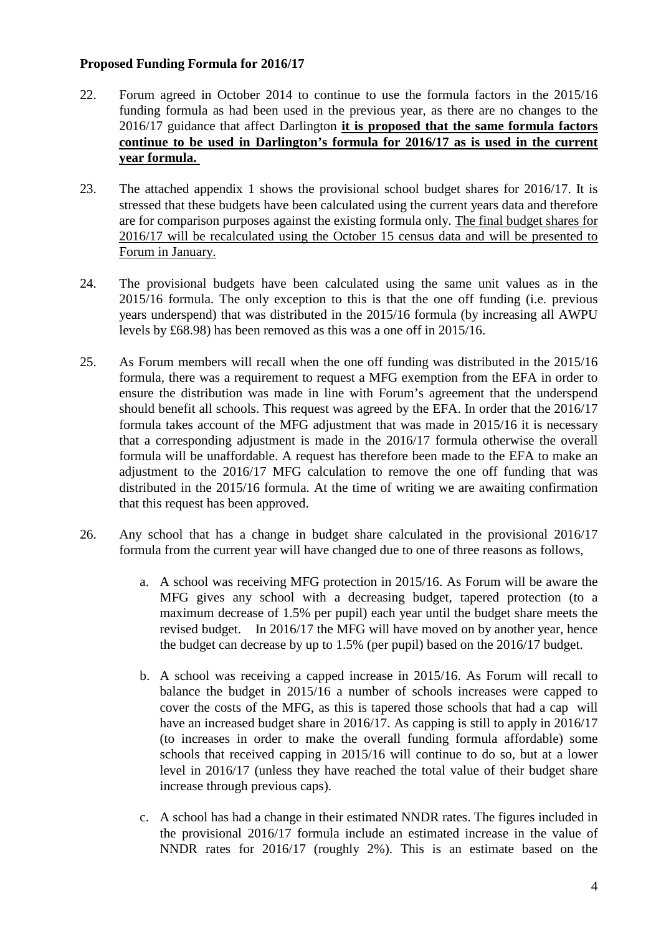#### **Proposed Funding Formula for 2016/17**

- 22. Forum agreed in October 2014 to continue to use the formula factors in the 2015/16 funding formula as had been used in the previous year, as there are no changes to the 2016/17 guidance that affect Darlington **it is proposed that the same formula factors continue to be used in Darlington's formula for 2016/17 as is used in the current year formula.**
- 23. The attached appendix 1 shows the provisional school budget shares for 2016/17. It is stressed that these budgets have been calculated using the current years data and therefore are for comparison purposes against the existing formula only. The final budget shares for 2016/17 will be recalculated using the October 15 census data and will be presented to Forum in January.
- 24. The provisional budgets have been calculated using the same unit values as in the 2015/16 formula. The only exception to this is that the one off funding (i.e. previous years underspend) that was distributed in the 2015/16 formula (by increasing all AWPU levels by £68.98) has been removed as this was a one off in 2015/16.
- 25. As Forum members will recall when the one off funding was distributed in the 2015/16 formula, there was a requirement to request a MFG exemption from the EFA in order to ensure the distribution was made in line with Forum's agreement that the underspend should benefit all schools. This request was agreed by the EFA. In order that the 2016/17 formula takes account of the MFG adjustment that was made in 2015/16 it is necessary that a corresponding adjustment is made in the 2016/17 formula otherwise the overall formula will be unaffordable. A request has therefore been made to the EFA to make an adjustment to the 2016/17 MFG calculation to remove the one off funding that was distributed in the 2015/16 formula. At the time of writing we are awaiting confirmation that this request has been approved.
- 26. Any school that has a change in budget share calculated in the provisional 2016/17 formula from the current year will have changed due to one of three reasons as follows,
	- a. A school was receiving MFG protection in 2015/16. As Forum will be aware the MFG gives any school with a decreasing budget, tapered protection (to a maximum decrease of 1.5% per pupil) each year until the budget share meets the revised budget. In 2016/17 the MFG will have moved on by another year, hence the budget can decrease by up to 1.5% (per pupil) based on the 2016/17 budget.
	- b. A school was receiving a capped increase in 2015/16. As Forum will recall to balance the budget in 2015/16 a number of schools increases were capped to cover the costs of the MFG, as this is tapered those schools that had a cap will have an increased budget share in 2016/17. As capping is still to apply in 2016/17 (to increases in order to make the overall funding formula affordable) some schools that received capping in 2015/16 will continue to do so, but at a lower level in 2016/17 (unless they have reached the total value of their budget share increase through previous caps).
	- c. A school has had a change in their estimated NNDR rates. The figures included in the provisional 2016/17 formula include an estimated increase in the value of NNDR rates for 2016/17 (roughly 2%). This is an estimate based on the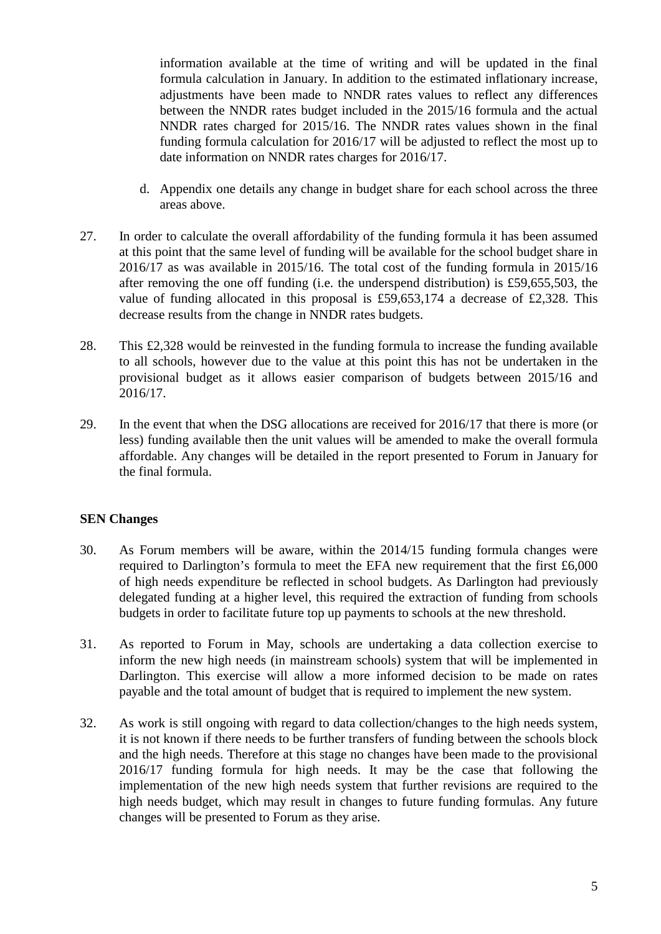information available at the time of writing and will be updated in the final formula calculation in January. In addition to the estimated inflationary increase, adjustments have been made to NNDR rates values to reflect any differences between the NNDR rates budget included in the 2015/16 formula and the actual NNDR rates charged for 2015/16. The NNDR rates values shown in the final funding formula calculation for 2016/17 will be adjusted to reflect the most up to date information on NNDR rates charges for 2016/17.

- d. Appendix one details any change in budget share for each school across the three areas above.
- 27. In order to calculate the overall affordability of the funding formula it has been assumed at this point that the same level of funding will be available for the school budget share in 2016/17 as was available in 2015/16. The total cost of the funding formula in 2015/16 after removing the one off funding (i.e. the underspend distribution) is £59,655,503, the value of funding allocated in this proposal is £59,653,174 a decrease of £2,328. This decrease results from the change in NNDR rates budgets.
- 28. This £2,328 would be reinvested in the funding formula to increase the funding available to all schools, however due to the value at this point this has not be undertaken in the provisional budget as it allows easier comparison of budgets between 2015/16 and 2016/17.
- 29. In the event that when the DSG allocations are received for 2016/17 that there is more (or less) funding available then the unit values will be amended to make the overall formula affordable. Any changes will be detailed in the report presented to Forum in January for the final formula.

# **SEN Changes**

- 30. As Forum members will be aware, within the 2014/15 funding formula changes were required to Darlington's formula to meet the EFA new requirement that the first £6,000 of high needs expenditure be reflected in school budgets. As Darlington had previously delegated funding at a higher level, this required the extraction of funding from schools budgets in order to facilitate future top up payments to schools at the new threshold.
- 31. As reported to Forum in May, schools are undertaking a data collection exercise to inform the new high needs (in mainstream schools) system that will be implemented in Darlington. This exercise will allow a more informed decision to be made on rates payable and the total amount of budget that is required to implement the new system.
- 32. As work is still ongoing with regard to data collection/changes to the high needs system, it is not known if there needs to be further transfers of funding between the schools block and the high needs. Therefore at this stage no changes have been made to the provisional 2016/17 funding formula for high needs. It may be the case that following the implementation of the new high needs system that further revisions are required to the high needs budget, which may result in changes to future funding formulas. Any future changes will be presented to Forum as they arise.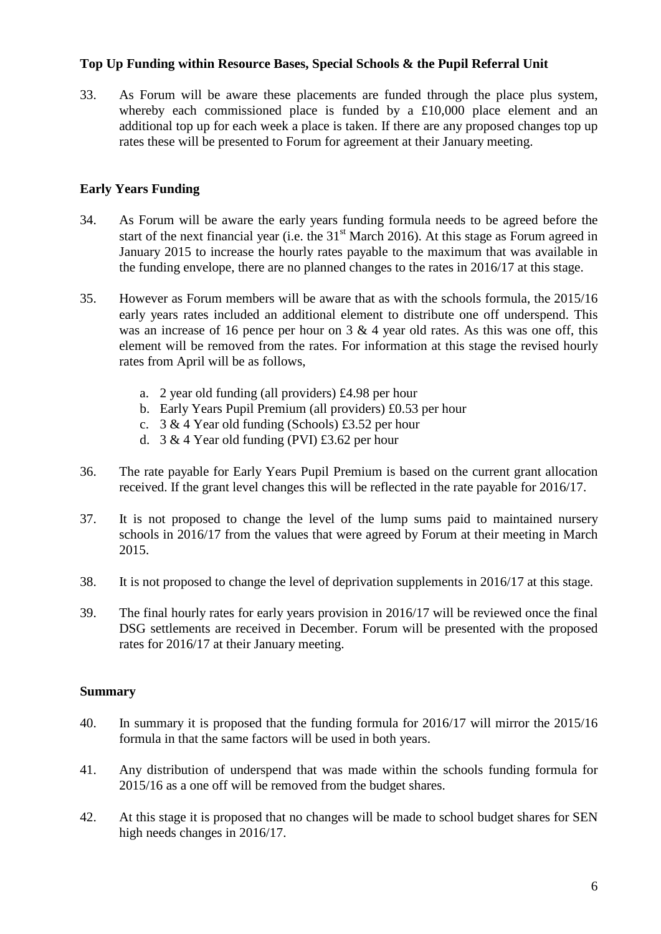# **Top Up Funding within Resource Bases, Special Schools & the Pupil Referral Unit**

33. As Forum will be aware these placements are funded through the place plus system, whereby each commissioned place is funded by a £10,000 place element and an additional top up for each week a place is taken. If there are any proposed changes top up rates these will be presented to Forum for agreement at their January meeting.

# **Early Years Funding**

- 34. As Forum will be aware the early years funding formula needs to be agreed before the start of the next financial year (i.e. the  $31<sup>st</sup>$  March 2016). At this stage as Forum agreed in January 2015 to increase the hourly rates payable to the maximum that was available in the funding envelope, there are no planned changes to the rates in 2016/17 at this stage.
- 35. However as Forum members will be aware that as with the schools formula, the 2015/16 early years rates included an additional element to distribute one off underspend. This was an increase of 16 pence per hour on  $3 \& 4$  year old rates. As this was one off, this element will be removed from the rates. For information at this stage the revised hourly rates from April will be as follows,
	- a. 2 year old funding (all providers) £4.98 per hour
	- b. Early Years Pupil Premium (all providers) £0.53 per hour
	- c. 3 & 4 Year old funding (Schools) £3.52 per hour
	- d. 3 & 4 Year old funding (PVI) £3.62 per hour
- 36. The rate payable for Early Years Pupil Premium is based on the current grant allocation received. If the grant level changes this will be reflected in the rate payable for 2016/17.
- 37. It is not proposed to change the level of the lump sums paid to maintained nursery schools in 2016/17 from the values that were agreed by Forum at their meeting in March 2015.
- 38. It is not proposed to change the level of deprivation supplements in 2016/17 at this stage.
- 39. The final hourly rates for early years provision in 2016/17 will be reviewed once the final DSG settlements are received in December. Forum will be presented with the proposed rates for 2016/17 at their January meeting.

# **Summary**

- 40. In summary it is proposed that the funding formula for 2016/17 will mirror the 2015/16 formula in that the same factors will be used in both years.
- 41. Any distribution of underspend that was made within the schools funding formula for 2015/16 as a one off will be removed from the budget shares.
- 42. At this stage it is proposed that no changes will be made to school budget shares for SEN high needs changes in 2016/17.